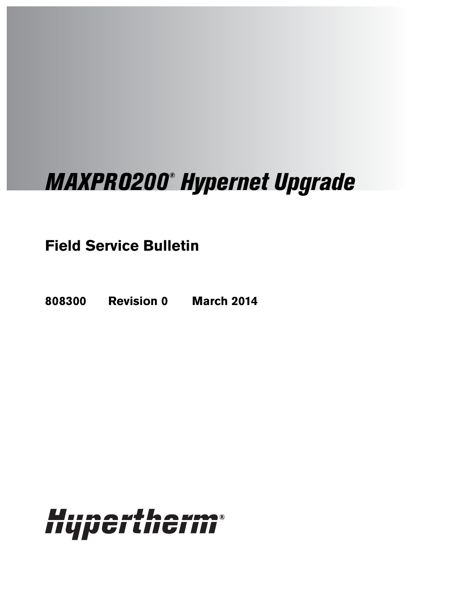# MAXPRO200® Hypernet Upgrade

**Field Service Bulletin**

**808300 Revision 0 March 2014**

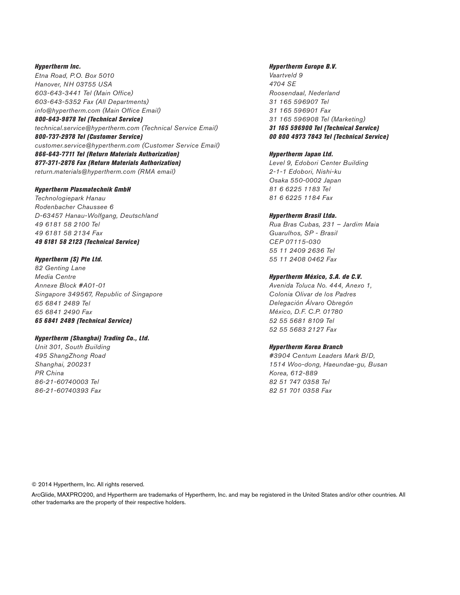Hypertherm Inc. Etna Road, P.O. Box 5010 Hanover, NH 03755 USA 603-643-3441 Tel (Main Office) 603-643-5352 Fax (All Departments) info@hypertherm.com (Main Office Email) 800-643-9878 Tel (Technical Service) technical.service@hypertherm.com (Technical Service Email)

800-737-2978 Tel (Customer Service) customer.service@hypertherm.com (Customer Service Email) 866-643-7711 Tel (Return Materials Authorization) 877-371-2876 Fax (Return Materials Authorization) return.materials@hypertherm.com (RMA email)

#### Hypertherm Plasmatechnik GmbH

Technologiepark Hanau Rodenbacher Chaussee 6 D-63457 Hanau-Wolfgang, Deutschland 49 6181 58 2100 Tel 49 6181 58 2134 Fax 49 6181 58 2123 (Technical Service)

#### Hypertherm (S) Pte Ltd.

82 Genting Lane Media Centre Annexe Block #A01-01 Singapore 349567, Republic of Singapore 65 6841 2489 Tel 65 6841 2490 Fax 65 6841 2489 (Technical Service)

#### Hypertherm (Shanghai) Trading Co., Ltd.

Unit 301, South Building 495 ShangZhong Road Shanghai, 200231 PR China 86-21-60740003 Tel 86-21-60740393 Fax

#### Hypertherm Europe B.V.

Vaartveld 9 4704 SE Roosendaal, Nederland 31 165 596907 Tel 31 165 596901 Fax 31 165 596908 Tel (Marketing) 31 165 596900 Tel (Technical Service) 00 800 4973 7843 Tel (Technical Service)

#### Hypertherm Japan Ltd.

Level 9, Edobori Center Building 2-1-1 Edobori, Nishi-ku Osaka 550-0002 Japan 81 6 6225 1183 Tel 81 6 6225 1184 Fax

#### Hypertherm Brasil Ltda.

Rua Bras Cubas, 231 – Jardim Maia Guarulhos, SP - Brasil CEP 07115-030 55 11 2409 2636 Tel 55 11 2408 0462 Fax

#### Hypertherm México, S.A. de C.V.

Avenida Toluca No. 444, Anexo 1, Colonia Olivar de los Padres Delegación Álvaro Obregón México, D.F. C.P. 01780 52 55 5681 8109 Tel 52 55 5683 2127 Fax

#### Hypertherm Korea Branch

#3904 Centum Leaders Mark B/D, 1514 Woo-dong, Haeundae-gu, Busan Korea, 612-889 82 51 747 0358 Tel 82 51 701 0358 Fax

© 2014 Hypertherm, Inc. All rights reserved.

ArcGlide, MAXPRO200, and Hypertherm are trademarks of Hypertherm, Inc. and may be registered in the United States and/or other countries. All other trademarks are the property of their respective holders.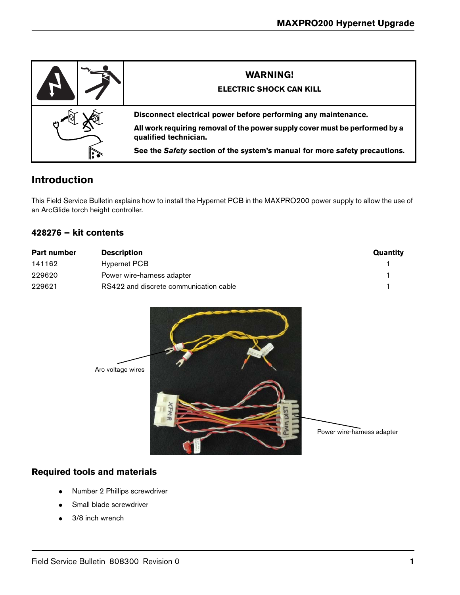

## **Introduction**

This Field Service Bulletin explains how to install the Hypernet PCB in the MAXPRO200 power supply to allow the use of an ArcGlide torch height controller.

## **428276 – kit contents**

| <b>Part number</b> | <b>Description</b>                     | Quantity |
|--------------------|----------------------------------------|----------|
| 141162             | Hypernet PCB                           |          |
| 229620             | Power wire-harness adapter             |          |
| 229621             | RS422 and discrete communication cable |          |



## **Required tools and materials**

- Number 2 Phillips screwdriver
- Small blade screwdriver
- 3/8 inch wrench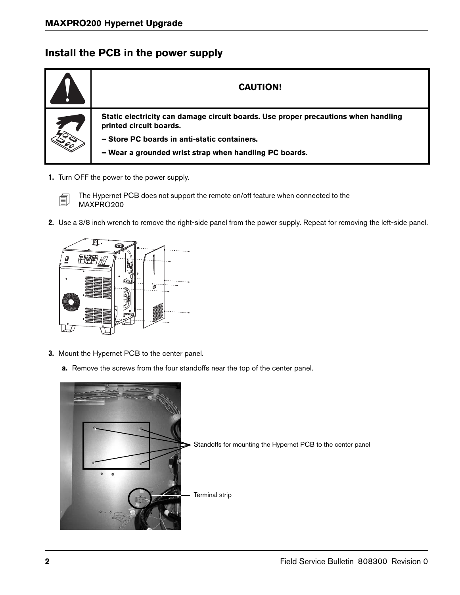# **Install the PCB in the power supply**



1. Turn OFF the power to the power supply.



The Hypernet PCB does not support the remote on/off feature when connected to the<br>MAXPRO200 MAXPRO200

2. Use a 3/8 inch wrench to remove the right-side panel from the power supply. Repeat for removing the left-side panel.



- 3. Mount the Hypernet PCB to the center panel.
	- a. Remove the screws from the four standoffs near the top of the center panel.

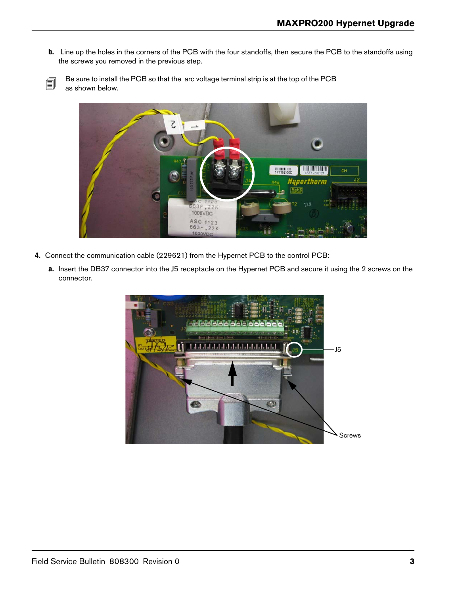**b.** Line up the holes in the corners of the PCB with the four standoffs, then secure the PCB to the standoffs using the screws you removed in the previous step.



 $\Box$  Be sure to install the PCB so that the arc voltage terminal strip is at the top of the PCB as shown below.



- 4. Connect the communication cable (229621) from the Hypernet PCB to the control PCB:
	- a. Insert the DB37 connector into the J5 receptacle on the Hypernet PCB and secure it using the 2 screws on the connector.

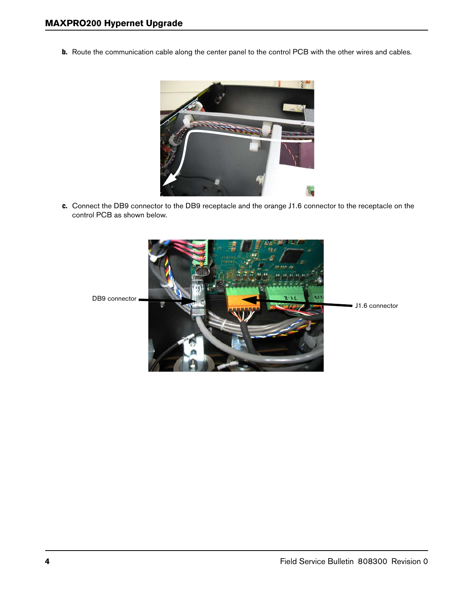b. Route the communication cable along the center panel to the control PCB with the other wires and cables.



c. Connect the DB9 connector to the DB9 receptacle and the orange J1.6 connector to the receptacle on the control PCB as shown below.

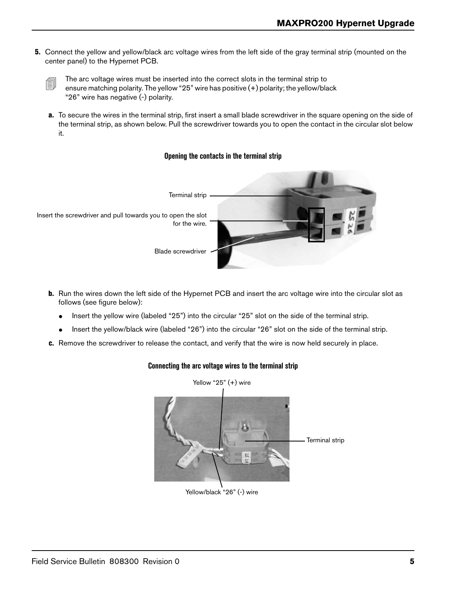5. Connect the yellow and yellow/black arc voltage wires from the left side of the gray terminal strip (mounted on the center panel) to the Hypernet PCB.

a. To secure the wires in the terminal strip, first insert a small blade screwdriver in the square opening on the side of the terminal strip, as shown below. Pull the screwdriver towards you to open the contact in the circular slot below it.

### **Opening the contacts in the terminal strip**



- **b.** Run the wires down the left side of the Hypernet PCB and insert the arc voltage wire into the circular slot as follows (see figure below):
	- Insert the yellow wire (labeled "25") into the circular "25" slot on the side of the terminal strip.
	- Insert the yellow/black wire (labeled "26") into the circular "26" slot on the side of the terminal strip.
- c. Remove the screwdriver to release the contact, and verify that the wire is now held securely in place.



## **Connecting the arc voltage wires to the terminal strip**

The arc voltage wires must be inserted into the correct slots in the terminal strip to  $\Box$  one we matching polarity. The vallow "25" wire has positive (+) polarity: the vallow (blow) ensure matching polarity. The yellow "25" wire has positive (+) polarity; the yellow/black "26" wire has negative (-) polarity.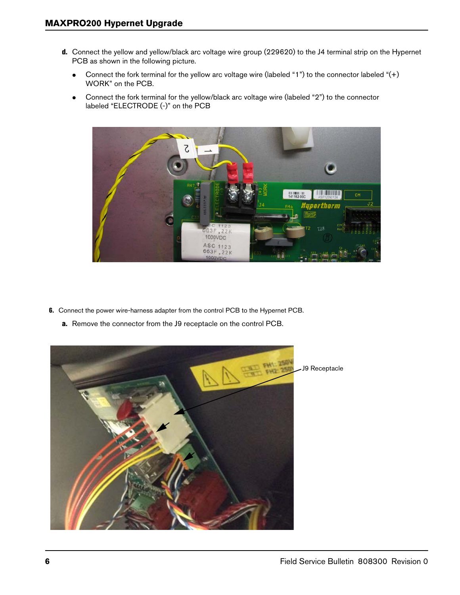- d. Connect the yellow and yellow/black arc voltage wire group (229620) to the J4 terminal strip on the Hypernet PCB as shown in the following picture.
	- Connect the fork terminal for the yellow arc voltage wire (labeled "1") to the connector labeled "(+) WORK" on the PCB.
	- Connect the fork terminal for the yellow/black arc voltage wire (labeled "2") to the connector labeled "ELECTRODE (-)" on the PCB



- 6. Connect the power wire-harness adapter from the control PCB to the Hypernet PCB.
	- a. Remove the connector from the J9 receptacle on the control PCB.